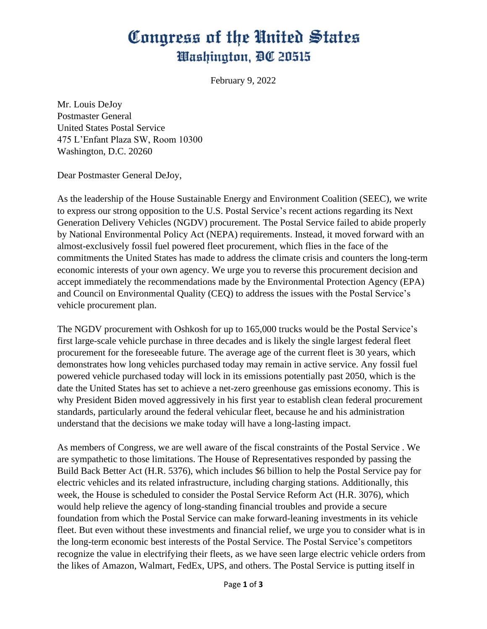## Congress of the United States Washington, DC 20515

February 9, 2022

Mr. Louis DeJoy Postmaster General United States Postal Service 475 L'Enfant Plaza SW, Room 10300 Washington, D.C. 20260

Dear Postmaster General DeJoy,

As the leadership of the House Sustainable Energy and Environment Coalition (SEEC), we write to express our strong opposition to the U.S. Postal Service's recent actions regarding its Next Generation Delivery Vehicles (NGDV) procurement. The Postal Service failed to abide properly by National Environmental Policy Act (NEPA) requirements. Instead, it moved forward with an almost-exclusively fossil fuel powered fleet procurement, which flies in the face of the commitments the United States has made to address the climate crisis and counters the long-term economic interests of your own agency. We urge you to reverse this procurement decision and accept immediately the recommendations made by the Environmental Protection Agency (EPA) and Council on Environmental Quality (CEQ) to address the issues with the Postal Service's vehicle procurement plan.

The NGDV procurement with Oshkosh for up to 165,000 trucks would be the Postal Service's first large-scale vehicle purchase in three decades and is likely the single largest federal fleet procurement for the foreseeable future. The average age of the current fleet is 30 years, which demonstrates how long vehicles purchased today may remain in active service. Any fossil fuel powered vehicle purchased today will lock in its emissions potentially past 2050, which is the date the United States has set to achieve a net-zero greenhouse gas emissions economy. This is why President Biden moved aggressively in his first year to establish clean federal procurement standards, particularly around the federal vehicular fleet, because he and his administration understand that the decisions we make today will have a long-lasting impact.

As members of Congress, we are well aware of the fiscal constraints of the Postal Service . We are sympathetic to those limitations. The House of Representatives responded by passing the Build Back Better Act (H.R. 5376), which includes \$6 billion to help the Postal Service pay for electric vehicles and its related infrastructure, including charging stations. Additionally, this week, the House is scheduled to consider the Postal Service Reform Act (H.R. 3076), which would help relieve the agency of long-standing financial troubles and provide a secure foundation from which the Postal Service can make forward-leaning investments in its vehicle fleet. But even without these investments and financial relief, we urge you to consider what is in the long-term economic best interests of the Postal Service. The Postal Service's competitors recognize the value in electrifying their fleets, as we have seen large electric vehicle orders from the likes of Amazon, Walmart, FedEx, UPS, and others. The Postal Service is putting itself in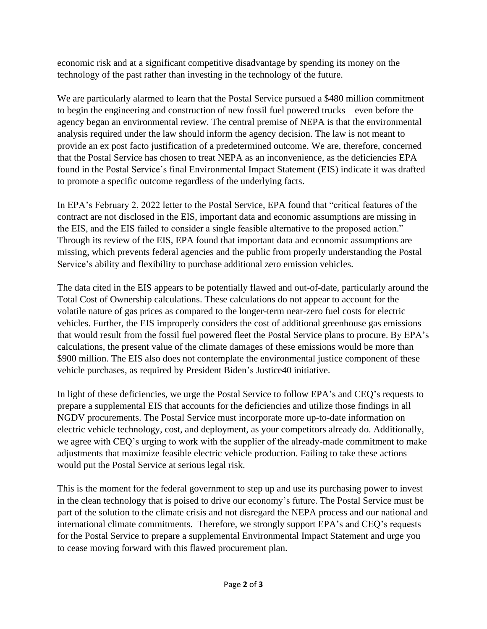economic risk and at a significant competitive disadvantage by spending its money on the technology of the past rather than investing in the technology of the future.

We are particularly alarmed to learn that the Postal Service pursued a \$480 million commitment to begin the engineering and construction of new fossil fuel powered trucks – even before the agency began an environmental review. The central premise of NEPA is that the environmental analysis required under the law should inform the agency decision. The law is not meant to provide an ex post facto justification of a predetermined outcome. We are, therefore, concerned that the Postal Service has chosen to treat NEPA as an inconvenience, as the deficiencies EPA found in the Postal Service's final Environmental Impact Statement (EIS) indicate it was drafted to promote a specific outcome regardless of the underlying facts.

In EPA's February 2, 2022 letter to the Postal Service, EPA found that "critical features of the contract are not disclosed in the EIS, important data and economic assumptions are missing in the EIS, and the EIS failed to consider a single feasible alternative to the proposed action." Through its review of the EIS, EPA found that important data and economic assumptions are missing, which prevents federal agencies and the public from properly understanding the Postal Service's ability and flexibility to purchase additional zero emission vehicles.

The data cited in the EIS appears to be potentially flawed and out-of-date, particularly around the Total Cost of Ownership calculations. These calculations do not appear to account for the volatile nature of gas prices as compared to the longer-term near-zero fuel costs for electric vehicles. Further, the EIS improperly considers the cost of additional greenhouse gas emissions that would result from the fossil fuel powered fleet the Postal Service plans to procure. By EPA's calculations, the present value of the climate damages of these emissions would be more than \$900 million. The EIS also does not contemplate the environmental justice component of these vehicle purchases, as required by President Biden's Justice40 initiative.

In light of these deficiencies, we urge the Postal Service to follow EPA's and CEQ's requests to prepare a supplemental EIS that accounts for the deficiencies and utilize those findings in all NGDV procurements. The Postal Service must incorporate more up-to-date information on electric vehicle technology, cost, and deployment, as your competitors already do. Additionally, we agree with CEQ's urging to work with the supplier of the already-made commitment to make adjustments that maximize feasible electric vehicle production. Failing to take these actions would put the Postal Service at serious legal risk.

This is the moment for the federal government to step up and use its purchasing power to invest in the clean technology that is poised to drive our economy's future. The Postal Service must be part of the solution to the climate crisis and not disregard the NEPA process and our national and international climate commitments. Therefore, we strongly support EPA's and CEQ's requests for the Postal Service to prepare a supplemental Environmental Impact Statement and urge you to cease moving forward with this flawed procurement plan.